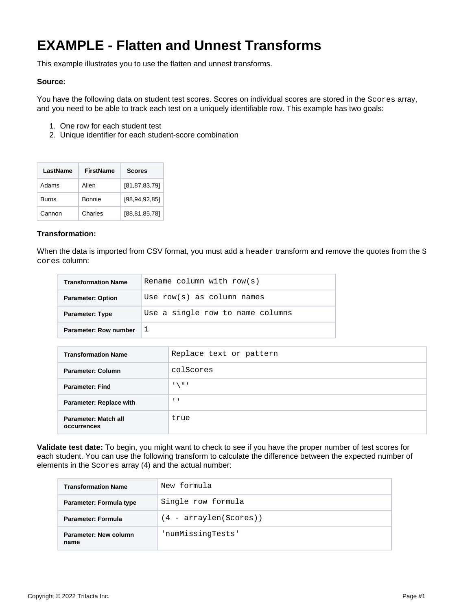# **EXAMPLE - Flatten and Unnest Transforms**

This example illustrates you to use the flatten and unnest transforms.

### **Source:**

You have the following data on student test scores. Scores on individual scores are stored in the Scores array, and you need to be able to track each test on a uniquely identifiable row. This example has two goals:

- 1. One row for each student test
- 2. Unique identifier for each student-score combination

| LastName     | <b>FirstName</b> | <b>Scores</b>    |
|--------------|------------------|------------------|
| Adams        | Allen            | [81, 87, 83, 79] |
| <b>Burns</b> | <b>Bonnie</b>    | [98, 94, 92, 85] |
| Cannon       | Charles          | [88, 81, 85, 78] |

## **Transformation:**

When the data is imported from CSV format, you must add a header transform and remove the quotes from the S cores column:

| <b>Transformation Name</b> | Rename column with $row(s)$      |
|----------------------------|----------------------------------|
| <b>Parameter: Option</b>   | Use $row(s)$ as column names     |
| <b>Parameter: Type</b>     | Use a single row to name columns |
| Parameter: Row number      |                                  |

| <b>Transformation Name</b>          | Replace text or pattern |
|-------------------------------------|-------------------------|
| Parameter: Column                   | colScores               |
| <b>Parameter: Find</b>              | 1 \ 11 1                |
| <b>Parameter: Replace with</b>      | $\mathbf{I}$            |
| Parameter: Match all<br>occurrences | true                    |

**Validate test date:** To begin, you might want to check to see if you have the proper number of test scores for each student. You can use the following transform to calculate the difference between the expected number of elements in the Scores array (4) and the actual number:

| <b>Transformation Name</b>    | New formula              |
|-------------------------------|--------------------------|
| Parameter: Formula type       | Single row formula       |
| <b>Parameter: Formula</b>     | $(4 - arraylen(Scores))$ |
| Parameter: New column<br>name | 'numMissinqTests'        |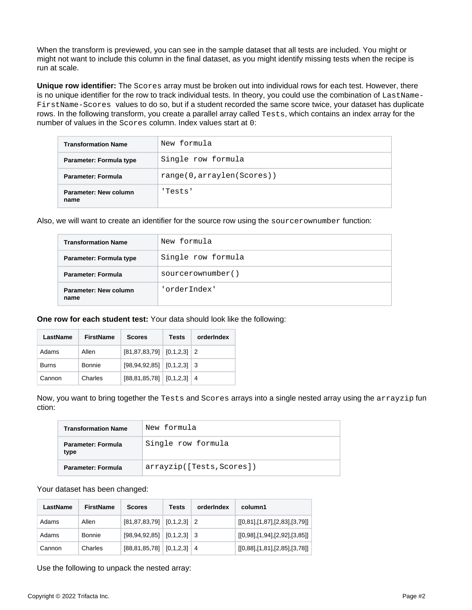When the transform is previewed, you can see in the sample dataset that all tests are included. You might or might not want to include this column in the final dataset, as you might identify missing tests when the recipe is run at scale.

**Unique row identifier:** The Scores array must be broken out into individual rows for each test. However, there is no unique identifier for the row to track individual tests. In theory, you could use the combination of LastName-FirstName-Scores values to do so, but if a student recorded the same score twice, your dataset has duplicate rows. In the following transform, you create a parallel array called Tests, which contains an index array for the number of values in the Scores column. Index values start at 0:

| <b>Transformation Name</b>    | New formula               |
|-------------------------------|---------------------------|
| Parameter: Formula type       | Single row formula        |
| Parameter: Formula            | range(0,arraylen(Scores)) |
| Parameter: New column<br>name | 'Tests'                   |

Also, we will want to create an identifier for the source row using the sourcerownumber function:

| <b>Transformation Name</b>    | New formula        |
|-------------------------------|--------------------|
| Parameter: Formula type       | Single row formula |
| Parameter: Formula            | sourcerownumber()  |
| Parameter: New column<br>name | 'orderIndex'       |

**One row for each student test:** Your data should look like the following:

| LastName     | <b>FirstName</b> | <b>Scores</b>                       | Tests | orderIndex |
|--------------|------------------|-------------------------------------|-------|------------|
| Adams        | Allen            | $[81, 87, 83, 79]$ $[0, 1, 2, 3]$ 2 |       |            |
| <b>Burns</b> | Bonnie           | $[98, 94, 92, 85]$ $[0, 1, 2, 3]$ 3 |       |            |
| Cannon       | Charles          | $[88, 81, 85, 78]$ $[0, 1, 2, 3]$ 4 |       |            |

Now, you want to bring together the Tests and Scores arrays into a single nested array using the arrayzip fun ction:

| <b>Transformation Name</b>        | New formula               |
|-----------------------------------|---------------------------|
| <b>Parameter: Formula</b><br>type | Single row formula        |
| <b>Parameter: Formula</b>         | arrayzip([Tests, Scores]) |

#### Your dataset has been changed:

| LastName | FirstName | <b>Scores</b>                       | Tests | orderIndex | column1                       |
|----------|-----------|-------------------------------------|-------|------------|-------------------------------|
| Adams    | Allen     | $[81, 87, 83, 79]$ $[0, 1, 2, 3]$ 2 |       |            | [[0,81],[1,87],[2,83],[3,79]] |
| Adams    | Bonnie    | $[98, 94, 92, 85]$ $[0, 1, 2, 3]$ 3 |       |            | [[0,98],[1,94],[2,92],[3,85]] |
| Cannon   | Charles   | $[88, 81, 85, 78]$ $[0, 1, 2, 3]$   |       | -4         | [[0,88],[1,81],[2,85],[3,78]] |

Use the following to unpack the nested array: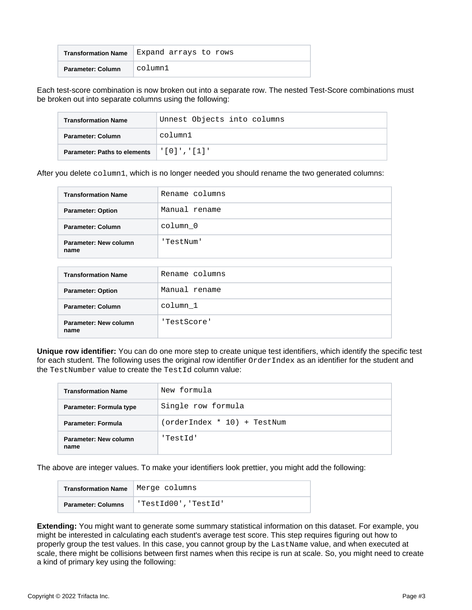| <b>Transformation Name</b> | Expand arrays to rows |
|----------------------------|-----------------------|
| Parameter: Column          | column1               |

Each test-score combination is now broken out into a separate row. The nested Test-Score combinations must be broken out into separate columns using the following:

| <b>Transformation Name</b>          | Unnest Objects into columns |
|-------------------------------------|-----------------------------|
| Parameter: Column                   | column1                     |
| <b>Parameter: Paths to elements</b> | , ' [ 0 ] ' , ' [ 1 ] ' ,   |

After you delete column1, which is no longer needed you should rename the two generated columns:

| <b>Transformation Name</b>    | Rename columns |
|-------------------------------|----------------|
| <b>Parameter: Option</b>      | Manual rename  |
| Parameter: Column             | column 0       |
| Parameter: New column<br>name | 'TestNum'      |

| <b>Transformation Name</b>    | Rename columns |  |  |  |
|-------------------------------|----------------|--|--|--|
| <b>Parameter: Option</b>      | Manual rename  |  |  |  |
| Parameter: Column             | column 1       |  |  |  |
| Parameter: New column<br>name | 'TestScore'    |  |  |  |

**Unique row identifier:** You can do one more step to create unique test identifiers, which identify the specific test for each student. The following uses the original row identifier OrderIndex as an identifier for the student and the TestNumber value to create the TestId column value:

| <b>Transformation Name</b>    | New formula                 |  |  |
|-------------------------------|-----------------------------|--|--|
| Parameter: Formula type       | Single row formula          |  |  |
| <b>Parameter: Formula</b>     | (orderIndex * 10) + TestNum |  |  |
| Parameter: New column<br>name | 'TestId'                    |  |  |

The above are integer values. To make your identifiers look prettier, you might add the following:

| <b>Transformation Name</b> | Merge columns        |
|----------------------------|----------------------|
| <b>Parameter: Columns</b>  | 'TestId00', 'TestId' |

**Extending:** You might want to generate some summary statistical information on this dataset. For example, you might be interested in calculating each student's average test score. This step requires figuring out how to properly group the test values. In this case, you cannot group by the LastName value, and when executed at scale, there might be collisions between first names when this recipe is run at scale. So, you might need to create a kind of primary key using the following: